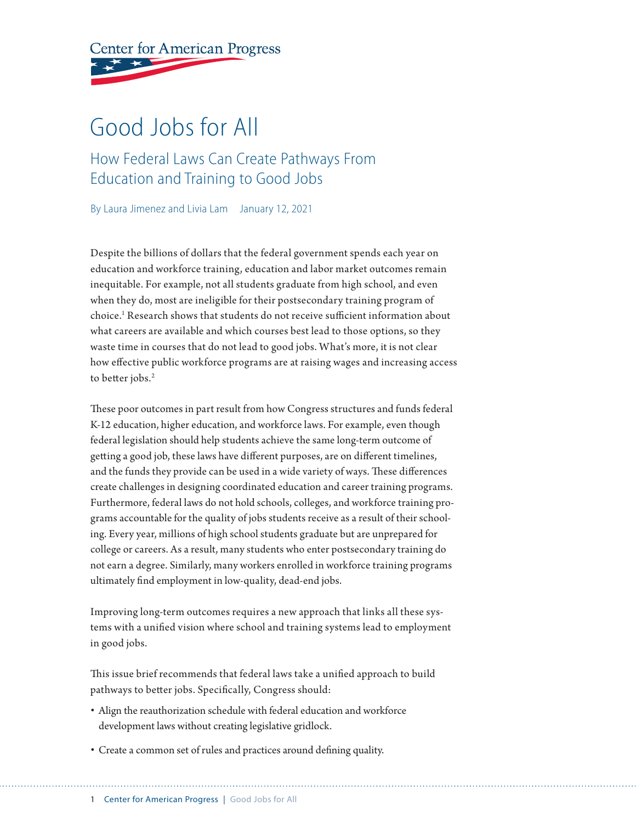**Center for American Progress** 

## Good Jobs for All

How Federal Laws Can Create Pathways From Education and Training to Good Jobs

By Laura Jimenez and Livia Lam January 12, 2021

Despite the billions of dollars that the federal government spends each year on education and workforce training, education and labor market outcomes remain inequitable. For example, not all students graduate from high school, and even when they do, most are ineligible for their postsecondary training program of choice.1 Research shows that students do not receive sufficient information about what careers are available and which courses best lead to those options, so they waste time in courses that do not lead to good jobs. What's more, it is not clear how effective public workforce programs are at raising wages and increasing access to better jobs.<sup>2</sup>

These poor outcomes in part result from how Congress structures and funds federal K-12 education, higher education, and workforce laws. For example, even though federal legislation should help students achieve the same long-term outcome of getting a good job, these laws have different purposes, are on different timelines, and the funds they provide can be used in a wide variety of ways. These differences create challenges in designing coordinated education and career training programs. Furthermore, federal laws do not hold schools, colleges, and workforce training programs accountable for the quality of jobs students receive as a result of their schooling. Every year, millions of high school students graduate but are unprepared for college or careers. As a result, many students who enter postsecondary training do not earn a degree. Similarly, many workers enrolled in workforce training programs ultimately find employment in low-quality, dead-end jobs.

Improving long-term outcomes requires a new approach that links all these systems with a unified vision where school and training systems lead to employment in good jobs.

This issue brief recommends that federal laws take a unified approach to build pathways to better jobs. Specifically, Congress should:

- Align the reauthorization schedule with federal education and workforce development laws without creating legislative gridlock.
- Create a common set of rules and practices around defining quality.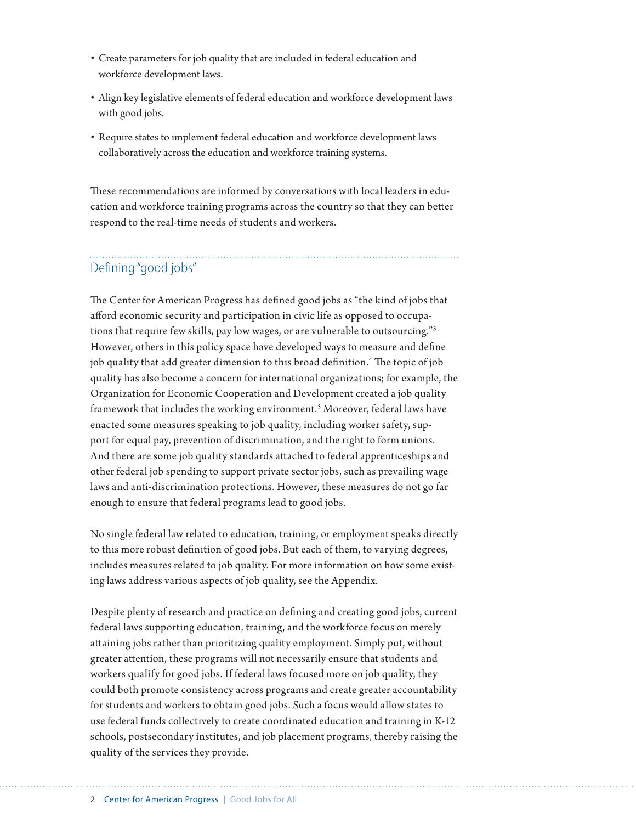- Create parameters for job quality that are included in federal education and workforce development laws.
- Align key legislative elements of federal education and workforce development laws with good jobs.
- Require states to implement federal education and workforce development laws collaboratively across the education and workforce training systems.

These recommendations are informed by conversations with local leaders in education and workforce training programs across the country so that they can better respond to the real-time needs of students and workers.

## Defining "good jobs"

The Center for American Progress has defined good jobs as "the kind of jobs that afford economic security and participation in civic life as opposed to occupations that require few skills, pay low wages, or are vulnerable to outsourcing."3 However, others in this policy space have developed ways to measure and define job quality that add greater dimension to this broad definition.4 The topic of job quality has also become a concern for international organizations; for example, the Organization for Economic Cooperation and Development created a job quality framework that includes the working environment.<sup>5</sup> Moreover, federal laws have enacted some measures speaking to job quality, including worker safety, support for equal pay, prevention of discrimination, and the right to form unions. And there are some job quality standards attached to federal apprenticeships and other federal job spending to support private sector jobs, such as prevailing wage laws and anti-discrimination protections. However, these measures do not go far enough to ensure that federal programs lead to good jobs.

No single federal law related to education, training, or employment speaks directly to this more robust definition of good jobs. But each of them, to varying degrees, includes measures related to job quality. For more information on how some existing laws address various aspects of job quality, see the Appendix.

Despite plenty of research and practice on defining and creating good jobs, current federal laws supporting education, training, and the workforce focus on merely attaining jobs rather than prioritizing quality employment. Simply put, without greater attention, these programs will not necessarily ensure that students and workers qualify for good jobs. If federal laws focused more on job quality, they could both promote consistency across programs and create greater accountability for students and workers to obtain good jobs. Such a focus would allow states to use federal funds collectively to create coordinated education and training in K-12 schools, postsecondary institutes, and job placement programs, thereby raising the quality of the services they provide.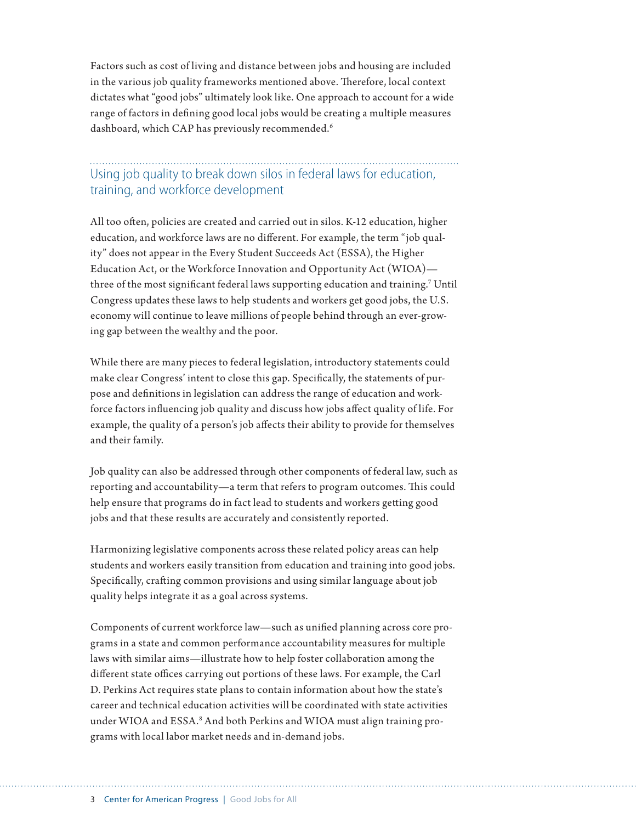Factors such as cost of living and distance between jobs and housing are included in the various job quality frameworks mentioned above. Therefore, local context dictates what "good jobs" ultimately look like. One approach to account for a wide range of factors in defining good local jobs would be creating a multiple measures dashboard, which CAP has previously recommended.<sup>6</sup>

## Using job quality to break down silos in federal laws for education, training, and workforce development

All too often, policies are created and carried out in silos. K-12 education, higher education, and workforce laws are no different. For example, the term "job quality" does not appear in the Every Student Succeeds Act (ESSA), the Higher Education Act, or the Workforce Innovation and Opportunity Act (WIOA) three of the most significant federal laws supporting education and training.7 Until Congress updates these laws to help students and workers get good jobs, the U.S. economy will continue to leave millions of people behind through an ever-growing gap between the wealthy and the poor.

While there are many pieces to federal legislation, introductory statements could make clear Congress' intent to close this gap. Specifically, the statements of purpose and definitions in legislation can address the range of education and workforce factors influencing job quality and discuss how jobs affect quality of life. For example, the quality of a person's job affects their ability to provide for themselves and their family.

Job quality can also be addressed through other components of federal law, such as reporting and accountability—a term that refers to program outcomes. This could help ensure that programs do in fact lead to students and workers getting good jobs and that these results are accurately and consistently reported.

Harmonizing legislative components across these related policy areas can help students and workers easily transition from education and training into good jobs. Specifically, crafting common provisions and using similar language about job quality helps integrate it as a goal across systems.

Components of current workforce law—such as unified planning across core programs in a state and common performance accountability measures for multiple laws with similar aims—illustrate how to help foster collaboration among the different state offices carrying out portions of these laws. For example, the Carl D. Perkins Act requires state plans to contain information about how the state's career and technical education activities will be coordinated with state activities under WIOA and ESSA.<sup>8</sup> And both Perkins and WIOA must align training programs with local labor market needs and in-demand jobs.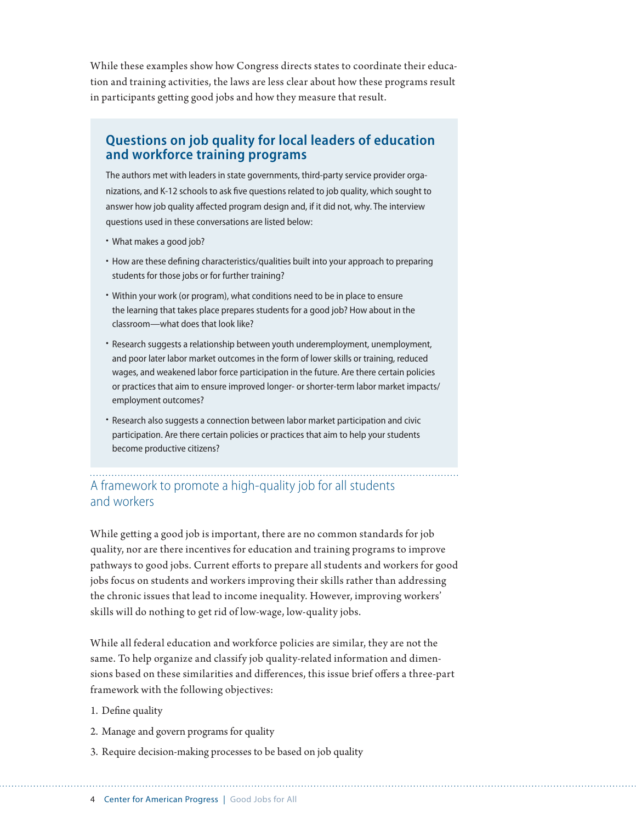While these examples show how Congress directs states to coordinate their education and training activities, the laws are less clear about how these programs result in participants getting good jobs and how they measure that result.

### **Questions on job quality for local leaders of education and workforce training programs**

The authors met with leaders in state governments, third-party service provider organizations, and K-12 schools to ask five questions related to job quality, which sought to answer how job quality affected program design and, if it did not, why. The interview questions used in these conversations are listed below:

- What makes a good job?
- How are these defining characteristics/qualities built into your approach to preparing students for those jobs or for further training?
- Within your work (or program), what conditions need to be in place to ensure the learning that takes place prepares students for a good job? How about in the classroom—what does that look like?
- Research suggests a relationship between youth underemployment, unemployment, and poor later labor market outcomes in the form of lower skills or training, reduced wages, and weakened labor force participation in the future. Are there certain policies or practices that aim to ensure improved longer- or shorter-term labor market impacts/ employment outcomes?
- Research also suggests a connection between labor market participation and civic participation. Are there certain policies or practices that aim to help your students become productive citizens?

## A framework to promote a high-quality job for all students and workers

While getting a good job is important, there are no common standards for job quality, nor are there incentives for education and training programs to improve pathways to good jobs. Current efforts to prepare all students and workers for good jobs focus on students and workers improving their skills rather than addressing the chronic issues that lead to income inequality. However, improving workers' skills will do nothing to get rid of low-wage, low-quality jobs.

While all federal education and workforce policies are similar, they are not the same. To help organize and classify job quality-related information and dimensions based on these similarities and differences, this issue brief offers a three-part framework with the following objectives:

- 1. Define quality
- 2. Manage and govern programs for quality
- 3. Require decision-making processes to be based on job quality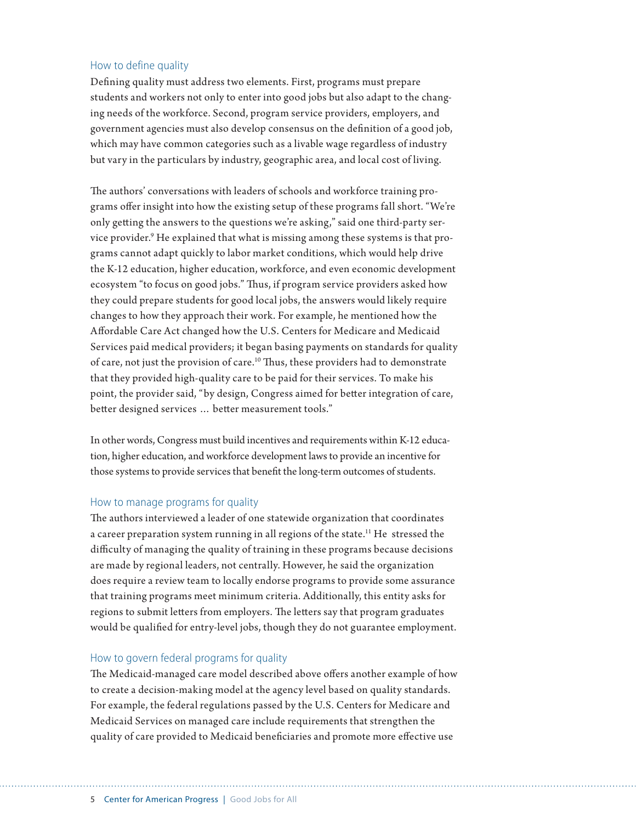#### How to define quality

Defining quality must address two elements. First, programs must prepare students and workers not only to enter into good jobs but also adapt to the changing needs of the workforce. Second, program service providers, employers, and government agencies must also develop consensus on the definition of a good job, which may have common categories such as a livable wage regardless of industry but vary in the particulars by industry, geographic area, and local cost of living.

The authors' conversations with leaders of schools and workforce training programs offer insight into how the existing setup of these programs fall short. "We're only getting the answers to the questions we're asking," said one third-party service provider.<sup>9</sup> He explained that what is missing among these systems is that programs cannot adapt quickly to labor market conditions, which would help drive the K-12 education, higher education, workforce, and even economic development ecosystem "to focus on good jobs." Thus, if program service providers asked how they could prepare students for good local jobs, the answers would likely require changes to how they approach their work. For example, he mentioned how the Affordable Care Act changed how the U.S. Centers for Medicare and Medicaid Services paid medical providers; it began basing payments on standards for quality of care, not just the provision of care.10 Thus, these providers had to demonstrate that they provided high-quality care to be paid for their services. To make his point, the provider said, "by design, Congress aimed for better integration of care, better designed services … better measurement tools."

In other words, Congress must build incentives and requirements within K-12 education, higher education, and workforce development laws to provide an incentive for those systems to provide services that benefit the long-term outcomes of students.

#### How to manage programs for quality

The authors interviewed a leader of one statewide organization that coordinates a career preparation system running in all regions of the state.<sup>11</sup> He stressed the difficulty of managing the quality of training in these programs because decisions are made by regional leaders, not centrally. However, he said the organization does require a review team to locally endorse programs to provide some assurance that training programs meet minimum criteria. Additionally, this entity asks for regions to submit letters from employers. The letters say that program graduates would be qualified for entry-level jobs, though they do not guarantee employment.

#### How to govern federal programs for quality

The Medicaid-managed care model described above offers another example of how to create a decision-making model at the agency level based on quality standards. For example, the federal regulations passed by the U.S. Centers for Medicare and Medicaid Services on managed care include requirements that strengthen the quality of care provided to Medicaid beneficiaries and promote more effective use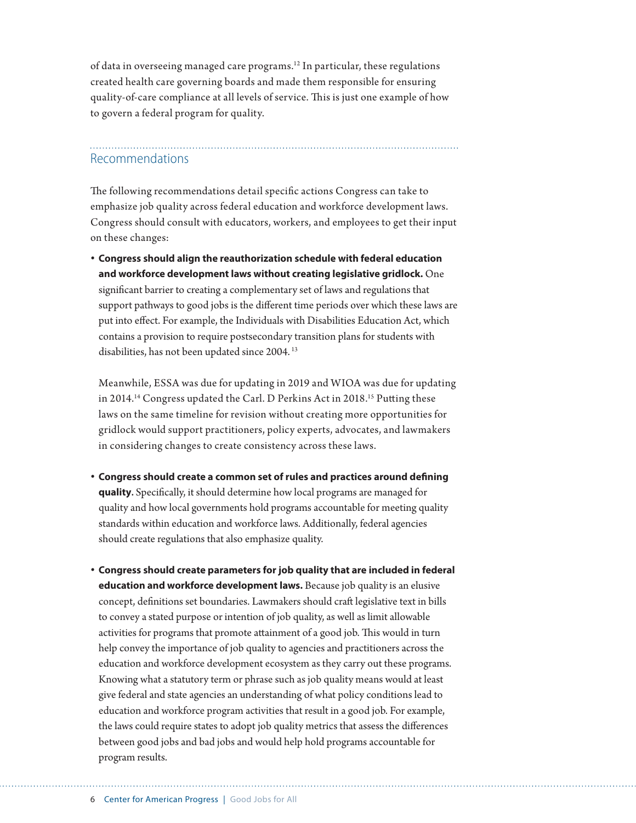of data in overseeing managed care programs.12 In particular, these regulations created health care governing boards and made them responsible for ensuring quality-of-care compliance at all levels of service. This is just one example of how to govern a federal program for quality.

## Recommendations

The following recommendations detail specific actions Congress can take to emphasize job quality across federal education and workforce development laws. Congress should consult with educators, workers, and employees to get their input on these changes:

**• Congress should align the reauthorization schedule with federal education and workforce development laws without creating legislative gridlock.** One significant barrier to creating a complementary set of laws and regulations that support pathways to good jobs is the different time periods over which these laws are put into effect. For example, the Individuals with Disabilities Education Act, which contains a provision to require postsecondary transition plans for students with disabilities, has not been updated since 2004.<sup>13</sup>

Meanwhile, ESSA was due for updating in 2019 and WIOA was due for updating in 2014.<sup>14</sup> Congress updated the Carl. D Perkins Act in 2018.<sup>15</sup> Putting these laws on the same timeline for revision without creating more opportunities for gridlock would support practitioners, policy experts, advocates, and lawmakers in considering changes to create consistency across these laws.

- **• Congress should create a common set of rules and practices around defining quality.** Specifically, it should determine how local programs are managed for quality and how local governments hold programs accountable for meeting quality standards within education and workforce laws. Additionally, federal agencies should create regulations that also emphasize quality.
- **• Congress should create parameters for job quality that are included in federal education and workforce development laws.** Because job quality is an elusive concept, definitions set boundaries. Lawmakers should craft legislative text in bills to convey a stated purpose or intention of job quality, as well as limit allowable activities for programs that promote attainment of a good job. This would in turn help convey the importance of job quality to agencies and practitioners across the education and workforce development ecosystem as they carry out these programs. Knowing what a statutory term or phrase such as job quality means would at least give federal and state agencies an understanding of what policy conditions lead to education and workforce program activities that result in a good job. For example, the laws could require states to adopt job quality metrics that assess the differences between good jobs and bad jobs and would help hold programs accountable for program results.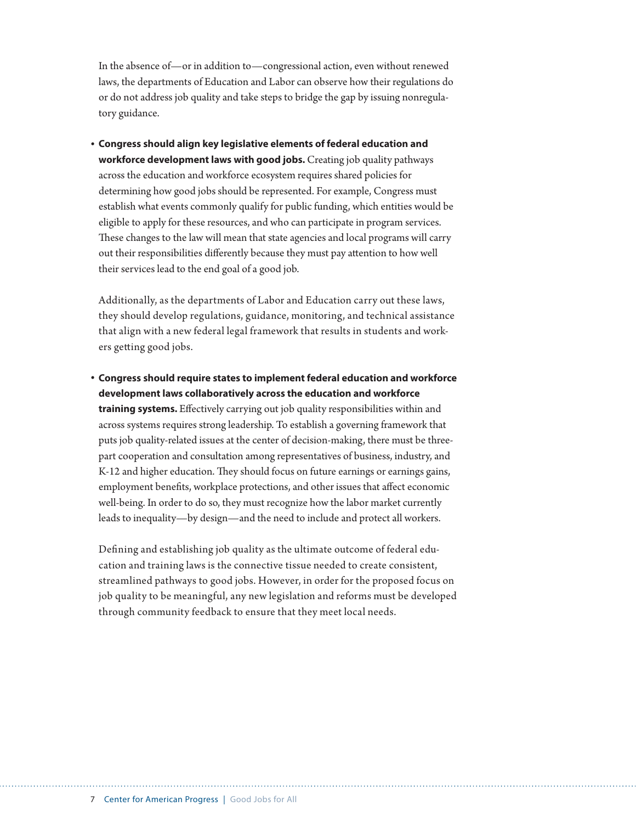In the absence of—or in addition to—congressional action, even without renewed laws, the departments of Education and Labor can observe how their regulations do or do not address job quality and take steps to bridge the gap by issuing nonregulatory guidance.

**• Congress should align key legislative elements of federal education and workforce development laws with good jobs.** Creating job quality pathways across the education and workforce ecosystem requires shared policies for determining how good jobs should be represented. For example, Congress must establish what events commonly qualify for public funding, which entities would be eligible to apply for these resources, and who can participate in program services. These changes to the law will mean that state agencies and local programs will carry out their responsibilities differently because they must pay attention to how well their services lead to the end goal of a good job.

Additionally, as the departments of Labor and Education carry out these laws, they should develop regulations, guidance, monitoring, and technical assistance that align with a new federal legal framework that results in students and workers getting good jobs.

**• Congress should require states to implement federal education and workforce development laws collaboratively across the education and workforce training systems.** Effectively carrying out job quality responsibilities within and across systems requires strong leadership. To establish a governing framework that puts job quality-related issues at the center of decision-making, there must be threepart cooperation and consultation among representatives of business, industry, and K-12 and higher education. They should focus on future earnings or earnings gains, employment benefits, workplace protections, and other issues that affect economic well-being. In order to do so, they must recognize how the labor market currently leads to inequality—by design—and the need to include and protect all workers.

Defining and establishing job quality as the ultimate outcome of federal education and training laws is the connective tissue needed to create consistent, streamlined pathways to good jobs. However, in order for the proposed focus on job quality to be meaningful, any new legislation and reforms must be developed through community feedback to ensure that they meet local needs.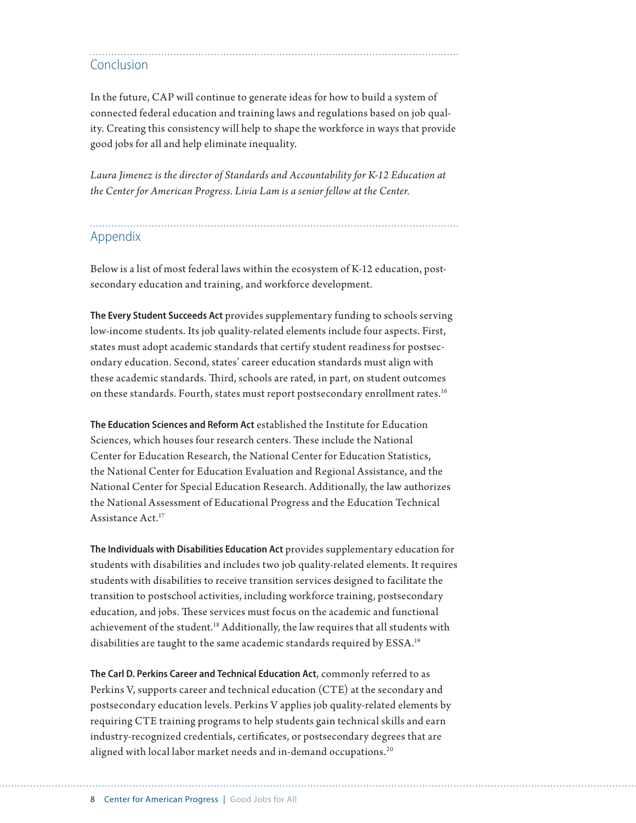# Conclusion

In the future, CAP will continue to generate ideas for how to build a system of connected federal education and training laws and regulations based on job quality. Creating this consistency will help to shape the workforce in ways that provide good jobs for all and help eliminate inequality.

*Laura Jimenez is the director of Standards and Accountability for K-12 Education at the Center for American Progress. Livia Lam is a senior fellow at the Center.*

### Appendix

Below is a list of most federal laws within the ecosystem of K-12 education, postsecondary education and training, and workforce development.

**The Every Student Succeeds Act** provides supplementary funding to schools serving low-income students. Its job quality-related elements include four aspects. First, states must adopt academic standards that certify student readiness for postsecondary education. Second, states' career education standards must align with these academic standards. Third, schools are rated, in part, on student outcomes on these standards. Fourth, states must report postsecondary enrollment rates.<sup>16</sup>

**The Education Sciences and Reform Act** established the Institute for Education Sciences, which houses four research centers. These include the National Center for Education Research, the National Center for Education Statistics, the National Center for Education Evaluation and Regional Assistance, and the National Center for Special Education Research. Additionally, the law authorizes the National Assessment of Educational Progress and the Education Technical Assistance Act.17

**The Individuals with Disabilities Education Act** provides supplementary education for students with disabilities and includes two job quality-related elements. It requires students with disabilities to receive transition services designed to facilitate the transition to postschool activities, including workforce training, postsecondary education, and jobs. These services must focus on the academic and functional achievement of the student.18 Additionally, the law requires that all students with disabilities are taught to the same academic standards required by ESSA.<sup>19</sup>

**The Carl D. Perkins Career and Technical Education Act**, commonly referred to as Perkins V, supports career and technical education (CTE) at the secondary and postsecondary education levels. Perkins V applies job quality-related elements by requiring CTE training programs to help students gain technical skills and earn industry-recognized credentials, certificates, or postsecondary degrees that are aligned with local labor market needs and in-demand occupations.<sup>20</sup>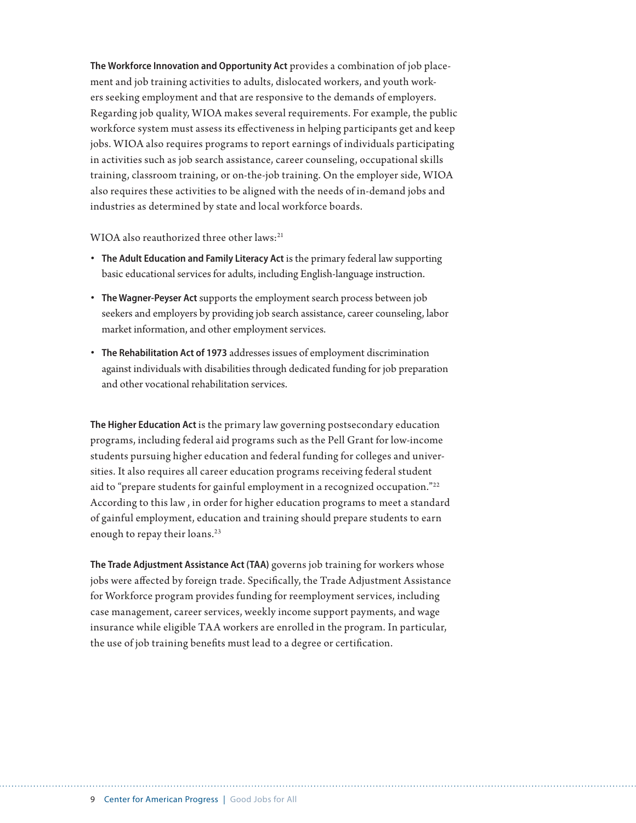**The Workforce Innovation and Opportunity Act** provides a combination of job placement and job training activities to adults, dislocated workers, and youth workers seeking employment and that are responsive to the demands of employers. Regarding job quality, WIOA makes several requirements. For example, the public workforce system must assess its effectiveness in helping participants get and keep jobs. WIOA also requires programs to report earnings of individuals participating in activities such as job search assistance, career counseling, occupational skills training, classroom training, or on-the-job training. On the employer side, WIOA also requires these activities to be aligned with the needs of in-demand jobs and industries as determined by state and local workforce boards.

WIOA also reauthorized three other laws:<sup>21</sup>

- **The Adult Education and Family Literacy Act** is the primary federal law supporting basic educational services for adults, including English-language instruction.
- **The Wagner-Peyser Act** supports the employment search process between job seekers and employers by providing job search assistance, career counseling, labor market information, and other employment services.
- **The Rehabilitation Act of 1973** addresses issues of employment discrimination against individuals with disabilities through dedicated funding for job preparation and other vocational rehabilitation services.

**The Higher Education Act** is the primary law governing postsecondary education programs, including federal aid programs such as the Pell Grant for low-income students pursuing higher education and federal funding for colleges and universities. It also requires all career education programs receiving federal student aid to "prepare students for gainful employment in a recognized occupation."22 According to this law , in order for higher education programs to meet a standard of gainful employment, education and training should prepare students to earn enough to repay their loans.<sup>23</sup>

**The Trade Adjustment Assistance Act (TAA)** governs job training for workers whose jobs were affected by foreign trade. Specifically, the Trade Adjustment Assistance for Workforce program provides funding for reemployment services, including case management, career services, weekly income support payments, and wage insurance while eligible TAA workers are enrolled in the program. In particular, the use of job training benefits must lead to a degree or certification.